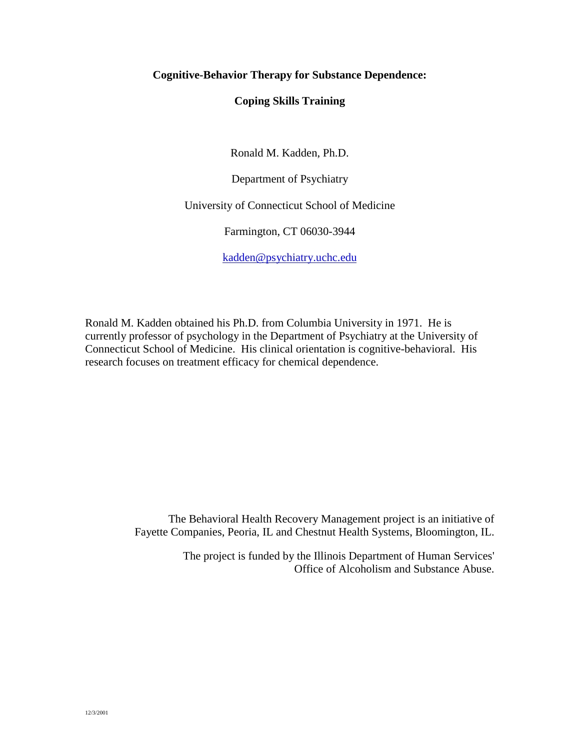# **Cognitive-Behavior Therapy for Substance Dependence:**

# **Coping Skills Training**

Ronald M. Kadden, Ph.D.

Department of Psychiatry

University of Connecticut School of Medicine

Farmington, CT 06030-3944

[kadden@psychiatry.uchc.edu](mailto:kadden@psychiatry.uchc.edu)

Ronald M. Kadden obtained his Ph.D. from Columbia University in 1971. He is currently professor of psychology in the Department of Psychiatry at the University of Connecticut School of Medicine. His clinical orientation is cognitive-behavioral. His research focuses on treatment efficacy for chemical dependence.

> The Behavioral Health Recovery Management project is an initiative of Fayette Companies, Peoria, IL and Chestnut Health Systems, Bloomington, IL.

> > The project is funded by the Illinois Department of Human Services' Office of Alcoholism and Substance Abuse.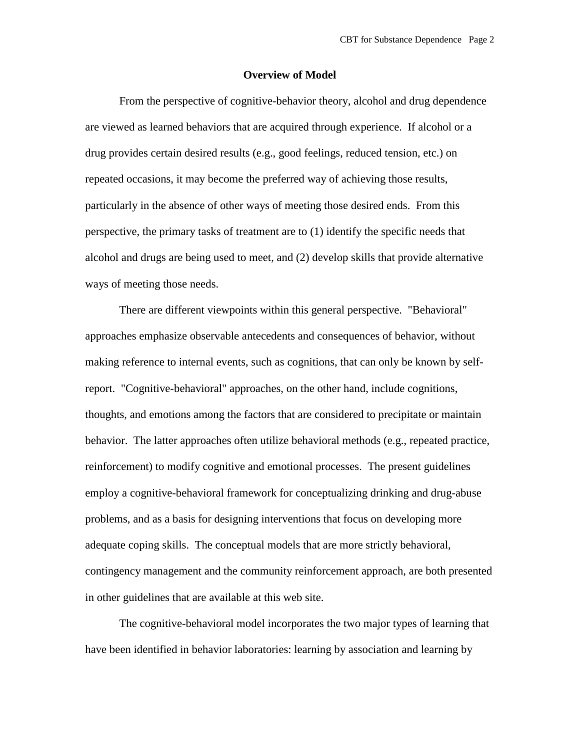#### **Overview of Model**

From the perspective of cognitive-behavior theory, alcohol and drug dependence are viewed as learned behaviors that are acquired through experience. If alcohol or a drug provides certain desired results (e.g., good feelings, reduced tension, etc.) on repeated occasions, it may become the preferred way of achieving those results, particularly in the absence of other ways of meeting those desired ends. From this perspective, the primary tasks of treatment are to (1) identify the specific needs that alcohol and drugs are being used to meet, and (2) develop skills that provide alternative ways of meeting those needs.

There are different viewpoints within this general perspective. "Behavioral" approaches emphasize observable antecedents and consequences of behavior, without making reference to internal events, such as cognitions, that can only be known by selfreport. "Cognitive-behavioral" approaches, on the other hand, include cognitions, thoughts, and emotions among the factors that are considered to precipitate or maintain behavior. The latter approaches often utilize behavioral methods (e.g., repeated practice, reinforcement) to modify cognitive and emotional processes. The present guidelines employ a cognitive-behavioral framework for conceptualizing drinking and drug-abuse problems, and as a basis for designing interventions that focus on developing more adequate coping skills. The conceptual models that are more strictly behavioral, contingency management and the community reinforcement approach, are both presented in other guidelines that are available at this web site.

The cognitive-behavioral model incorporates the two major types of learning that have been identified in behavior laboratories: learning by association and learning by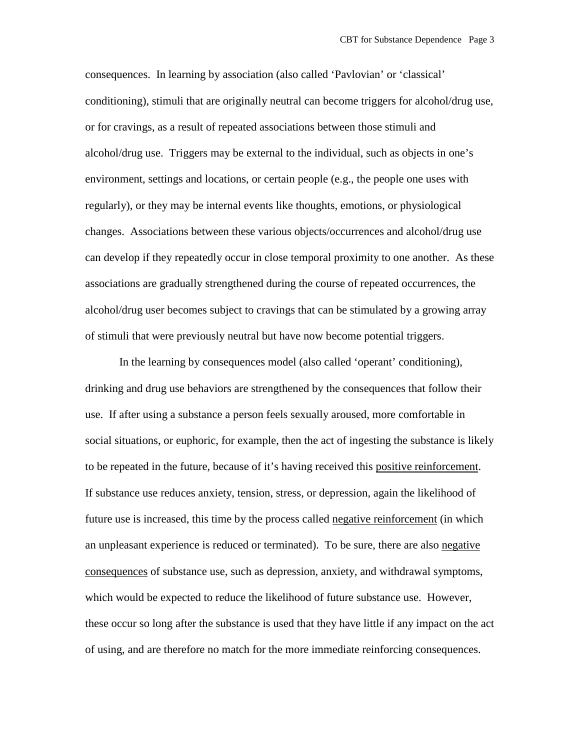consequences. In learning by association (also called 'Pavlovian' or 'classical' conditioning), stimuli that are originally neutral can become triggers for alcohol/drug use, or for cravings, as a result of repeated associations between those stimuli and alcohol/drug use. Triggers may be external to the individual, such as objects in one's environment, settings and locations, or certain people (e.g., the people one uses with regularly), or they may be internal events like thoughts, emotions, or physiological changes. Associations between these various objects/occurrences and alcohol/drug use can develop if they repeatedly occur in close temporal proximity to one another. As these associations are gradually strengthened during the course of repeated occurrences, the alcohol/drug user becomes subject to cravings that can be stimulated by a growing array of stimuli that were previously neutral but have now become potential triggers.

In the learning by consequences model (also called 'operant' conditioning), drinking and drug use behaviors are strengthened by the consequences that follow their use. If after using a substance a person feels sexually aroused, more comfortable in social situations, or euphoric, for example, then the act of ingesting the substance is likely to be repeated in the future, because of it's having received this positive reinforcement. If substance use reduces anxiety, tension, stress, or depression, again the likelihood of future use is increased, this time by the process called negative reinforcement (in which an unpleasant experience is reduced or terminated). To be sure, there are also negative consequences of substance use, such as depression, anxiety, and withdrawal symptoms, which would be expected to reduce the likelihood of future substance use. However, these occur so long after the substance is used that they have little if any impact on the act of using, and are therefore no match for the more immediate reinforcing consequences.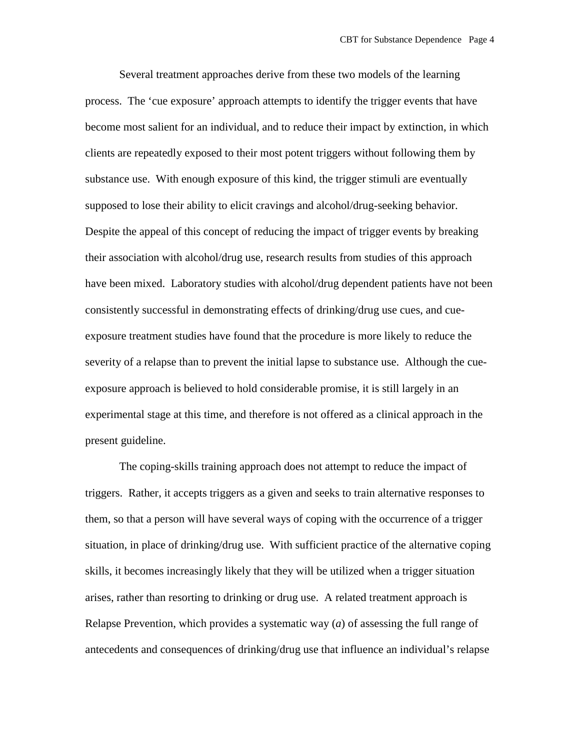Several treatment approaches derive from these two models of the learning process. The 'cue exposure' approach attempts to identify the trigger events that have become most salient for an individual, and to reduce their impact by extinction, in which clients are repeatedly exposed to their most potent triggers without following them by substance use. With enough exposure of this kind, the trigger stimuli are eventually supposed to lose their ability to elicit cravings and alcohol/drug-seeking behavior. Despite the appeal of this concept of reducing the impact of trigger events by breaking their association with alcohol/drug use, research results from studies of this approach have been mixed. Laboratory studies with alcohol/drug dependent patients have not been consistently successful in demonstrating effects of drinking/drug use cues, and cueexposure treatment studies have found that the procedure is more likely to reduce the severity of a relapse than to prevent the initial lapse to substance use. Although the cueexposure approach is believed to hold considerable promise, it is still largely in an experimental stage at this time, and therefore is not offered as a clinical approach in the present guideline.

The coping-skills training approach does not attempt to reduce the impact of triggers. Rather, it accepts triggers as a given and seeks to train alternative responses to them, so that a person will have several ways of coping with the occurrence of a trigger situation, in place of drinking/drug use. With sufficient practice of the alternative coping skills, it becomes increasingly likely that they will be utilized when a trigger situation arises, rather than resorting to drinking or drug use. A related treatment approach is Relapse Prevention, which provides a systematic way (*a*) of assessing the full range of antecedents and consequences of drinking/drug use that influence an individual's relapse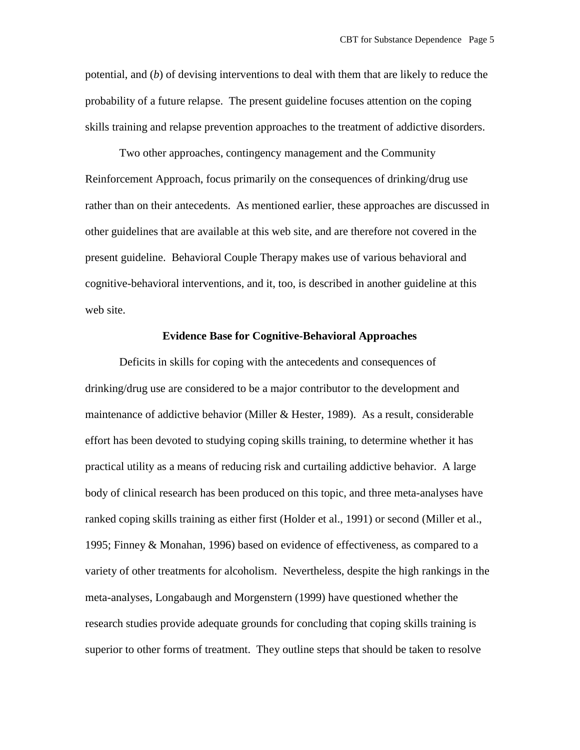potential, and (*b*) of devising interventions to deal with them that are likely to reduce the probability of a future relapse. The present guideline focuses attention on the coping skills training and relapse prevention approaches to the treatment of addictive disorders.

Two other approaches, contingency management and the Community Reinforcement Approach, focus primarily on the consequences of drinking/drug use rather than on their antecedents. As mentioned earlier, these approaches are discussed in other guidelines that are available at this web site, and are therefore not covered in the present guideline. Behavioral Couple Therapy makes use of various behavioral and cognitive-behavioral interventions, and it, too, is described in another guideline at this web site.

### **Evidence Base for Cognitive-Behavioral Approaches**

Deficits in skills for coping with the antecedents and consequences of drinking/drug use are considered to be a major contributor to the development and maintenance of addictive behavior (Miller & Hester, 1989). As a result, considerable effort has been devoted to studying coping skills training, to determine whether it has practical utility as a means of reducing risk and curtailing addictive behavior. A large body of clinical research has been produced on this topic, and three meta-analyses have ranked coping skills training as either first (Holder et al., 1991) or second (Miller et al., 1995; Finney & Monahan, 1996) based on evidence of effectiveness, as compared to a variety of other treatments for alcoholism. Nevertheless, despite the high rankings in the meta-analyses, Longabaugh and Morgenstern (1999) have questioned whether the research studies provide adequate grounds for concluding that coping skills training is superior to other forms of treatment. They outline steps that should be taken to resolve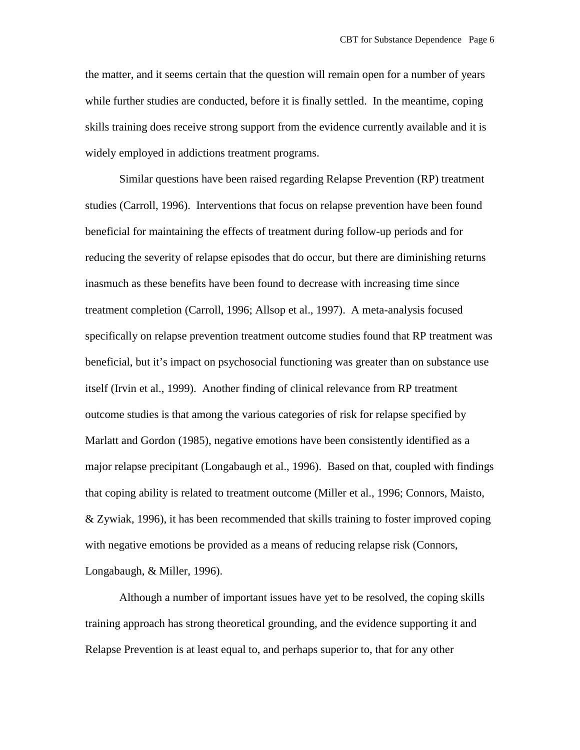the matter, and it seems certain that the question will remain open for a number of years while further studies are conducted, before it is finally settled. In the meantime, coping skills training does receive strong support from the evidence currently available and it is widely employed in addictions treatment programs.

Similar questions have been raised regarding Relapse Prevention (RP) treatment studies (Carroll, 1996). Interventions that focus on relapse prevention have been found beneficial for maintaining the effects of treatment during follow-up periods and for reducing the severity of relapse episodes that do occur, but there are diminishing returns inasmuch as these benefits have been found to decrease with increasing time since treatment completion (Carroll, 1996; Allsop et al., 1997). A meta-analysis focused specifically on relapse prevention treatment outcome studies found that RP treatment was beneficial, but it's impact on psychosocial functioning was greater than on substance use itself (Irvin et al., 1999). Another finding of clinical relevance from RP treatment outcome studies is that among the various categories of risk for relapse specified by Marlatt and Gordon (1985), negative emotions have been consistently identified as a major relapse precipitant (Longabaugh et al., 1996). Based on that, coupled with findings that coping ability is related to treatment outcome (Miller et al., 1996; Connors, Maisto, & Zywiak, 1996), it has been recommended that skills training to foster improved coping with negative emotions be provided as a means of reducing relapse risk (Connors, Longabaugh, & Miller, 1996).

Although a number of important issues have yet to be resolved, the coping skills training approach has strong theoretical grounding, and the evidence supporting it and Relapse Prevention is at least equal to, and perhaps superior to, that for any other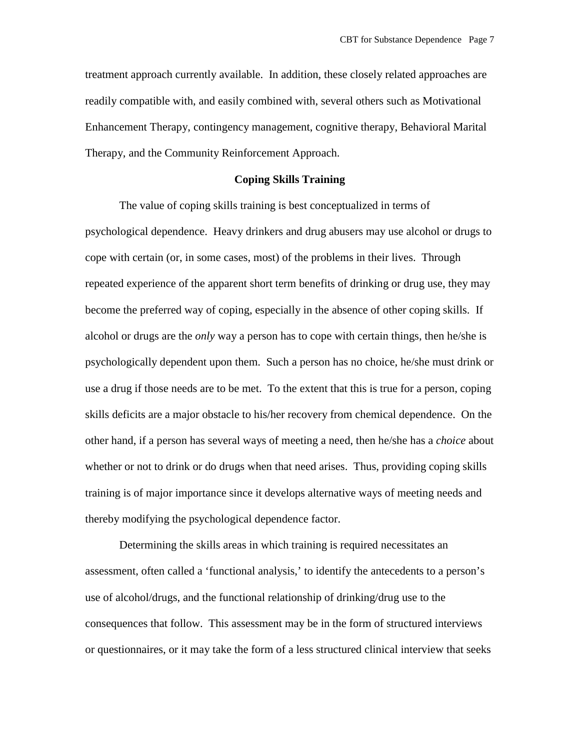treatment approach currently available. In addition, these closely related approaches are readily compatible with, and easily combined with, several others such as Motivational Enhancement Therapy, contingency management, cognitive therapy, Behavioral Marital Therapy, and the Community Reinforcement Approach.

# **Coping Skills Training**

The value of coping skills training is best conceptualized in terms of psychological dependence. Heavy drinkers and drug abusers may use alcohol or drugs to cope with certain (or, in some cases, most) of the problems in their lives. Through repeated experience of the apparent short term benefits of drinking or drug use, they may become the preferred way of coping, especially in the absence of other coping skills. If alcohol or drugs are the *only* way a person has to cope with certain things, then he/she is psychologically dependent upon them. Such a person has no choice, he/she must drink or use a drug if those needs are to be met. To the extent that this is true for a person, coping skills deficits are a major obstacle to his/her recovery from chemical dependence. On the other hand, if a person has several ways of meeting a need, then he/she has a *choice* about whether or not to drink or do drugs when that need arises. Thus, providing coping skills training is of major importance since it develops alternative ways of meeting needs and thereby modifying the psychological dependence factor.

Determining the skills areas in which training is required necessitates an assessment, often called a 'functional analysis,' to identify the antecedents to a person's use of alcohol/drugs, and the functional relationship of drinking/drug use to the consequences that follow. This assessment may be in the form of structured interviews or questionnaires, or it may take the form of a less structured clinical interview that seeks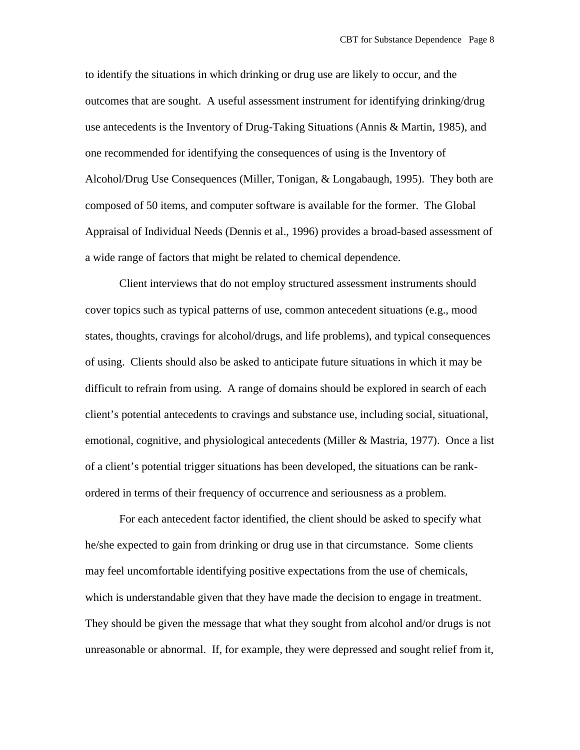to identify the situations in which drinking or drug use are likely to occur, and the outcomes that are sought. A useful assessment instrument for identifying drinking/drug use antecedents is the Inventory of Drug-Taking Situations (Annis & Martin, 1985), and one recommended for identifying the consequences of using is the Inventory of Alcohol/Drug Use Consequences (Miller, Tonigan, & Longabaugh, 1995). They both are composed of 50 items, and computer software is available for the former. The Global Appraisal of Individual Needs (Dennis et al., 1996) provides a broad-based assessment of a wide range of factors that might be related to chemical dependence.

Client interviews that do not employ structured assessment instruments should cover topics such as typical patterns of use, common antecedent situations (e.g., mood states, thoughts, cravings for alcohol/drugs, and life problems), and typical consequences of using. Clients should also be asked to anticipate future situations in which it may be difficult to refrain from using. A range of domains should be explored in search of each client's potential antecedents to cravings and substance use, including social, situational, emotional, cognitive, and physiological antecedents (Miller & Mastria, 1977). Once a list of a client's potential trigger situations has been developed, the situations can be rankordered in terms of their frequency of occurrence and seriousness as a problem.

For each antecedent factor identified, the client should be asked to specify what he/she expected to gain from drinking or drug use in that circumstance. Some clients may feel uncomfortable identifying positive expectations from the use of chemicals, which is understandable given that they have made the decision to engage in treatment. They should be given the message that what they sought from alcohol and/or drugs is not unreasonable or abnormal. If, for example, they were depressed and sought relief from it,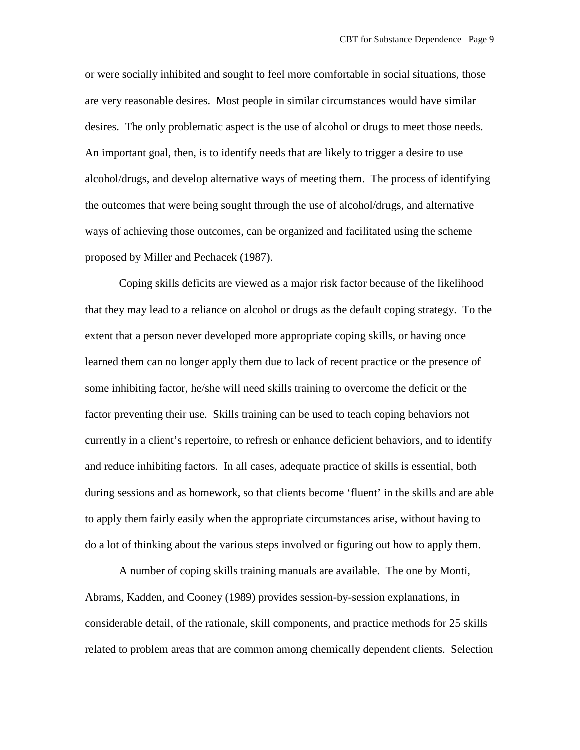or were socially inhibited and sought to feel more comfortable in social situations, those are very reasonable desires. Most people in similar circumstances would have similar desires. The only problematic aspect is the use of alcohol or drugs to meet those needs. An important goal, then, is to identify needs that are likely to trigger a desire to use alcohol/drugs, and develop alternative ways of meeting them. The process of identifying the outcomes that were being sought through the use of alcohol/drugs, and alternative ways of achieving those outcomes, can be organized and facilitated using the scheme proposed by Miller and Pechacek (1987).

Coping skills deficits are viewed as a major risk factor because of the likelihood that they may lead to a reliance on alcohol or drugs as the default coping strategy. To the extent that a person never developed more appropriate coping skills, or having once learned them can no longer apply them due to lack of recent practice or the presence of some inhibiting factor, he/she will need skills training to overcome the deficit or the factor preventing their use. Skills training can be used to teach coping behaviors not currently in a client's repertoire, to refresh or enhance deficient behaviors, and to identify and reduce inhibiting factors. In all cases, adequate practice of skills is essential, both during sessions and as homework, so that clients become 'fluent' in the skills and are able to apply them fairly easily when the appropriate circumstances arise, without having to do a lot of thinking about the various steps involved or figuring out how to apply them.

A number of coping skills training manuals are available. The one by Monti, Abrams, Kadden, and Cooney (1989) provides session-by-session explanations, in considerable detail, of the rationale, skill components, and practice methods for 25 skills related to problem areas that are common among chemically dependent clients. Selection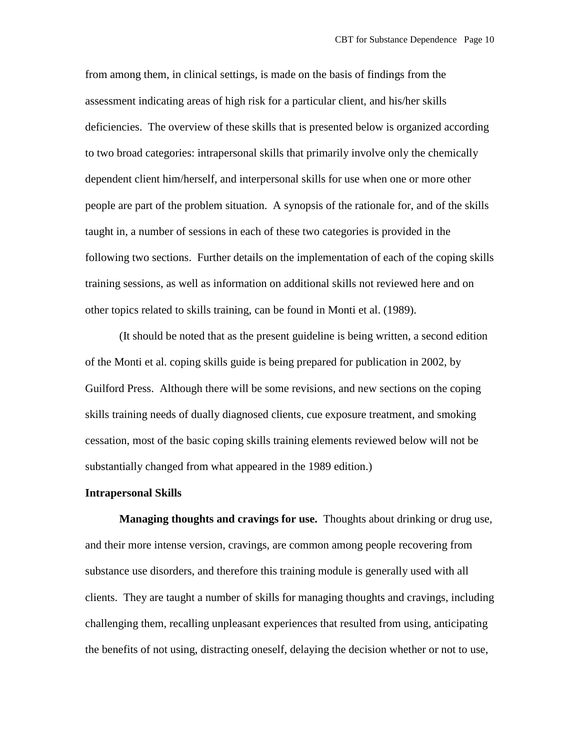from among them, in clinical settings, is made on the basis of findings from the assessment indicating areas of high risk for a particular client, and his/her skills deficiencies. The overview of these skills that is presented below is organized according to two broad categories: intrapersonal skills that primarily involve only the chemically dependent client him/herself, and interpersonal skills for use when one or more other people are part of the problem situation. A synopsis of the rationale for, and of the skills taught in, a number of sessions in each of these two categories is provided in the following two sections. Further details on the implementation of each of the coping skills training sessions, as well as information on additional skills not reviewed here and on other topics related to skills training, can be found in Monti et al. (1989).

(It should be noted that as the present guideline is being written, a second edition of the Monti et al. coping skills guide is being prepared for publication in 2002, by Guilford Press. Although there will be some revisions, and new sections on the coping skills training needs of dually diagnosed clients, cue exposure treatment, and smoking cessation, most of the basic coping skills training elements reviewed below will not be substantially changed from what appeared in the 1989 edition.)

#### **Intrapersonal Skills**

**Managing thoughts and cravings for use.** Thoughts about drinking or drug use, and their more intense version, cravings, are common among people recovering from substance use disorders, and therefore this training module is generally used with all clients. They are taught a number of skills for managing thoughts and cravings, including challenging them, recalling unpleasant experiences that resulted from using, anticipating the benefits of not using, distracting oneself, delaying the decision whether or not to use,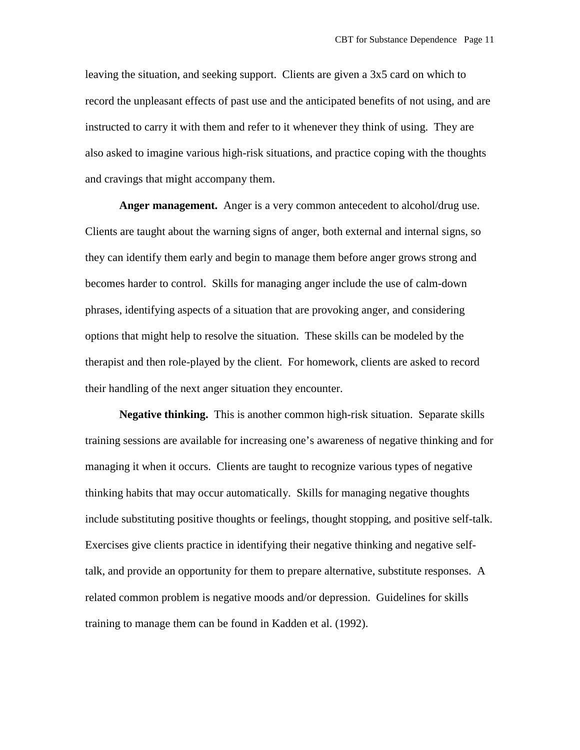leaving the situation, and seeking support. Clients are given a 3x5 card on which to record the unpleasant effects of past use and the anticipated benefits of not using, and are instructed to carry it with them and refer to it whenever they think of using. They are also asked to imagine various high-risk situations, and practice coping with the thoughts and cravings that might accompany them.

**Anger management.** Anger is a very common antecedent to alcohol/drug use. Clients are taught about the warning signs of anger, both external and internal signs, so they can identify them early and begin to manage them before anger grows strong and becomes harder to control. Skills for managing anger include the use of calm-down phrases, identifying aspects of a situation that are provoking anger, and considering options that might help to resolve the situation. These skills can be modeled by the therapist and then role-played by the client. For homework, clients are asked to record their handling of the next anger situation they encounter.

**Negative thinking.** This is another common high-risk situation. Separate skills training sessions are available for increasing one's awareness of negative thinking and for managing it when it occurs. Clients are taught to recognize various types of negative thinking habits that may occur automatically. Skills for managing negative thoughts include substituting positive thoughts or feelings, thought stopping, and positive self-talk. Exercises give clients practice in identifying their negative thinking and negative selftalk, and provide an opportunity for them to prepare alternative, substitute responses. A related common problem is negative moods and/or depression. Guidelines for skills training to manage them can be found in Kadden et al. (1992).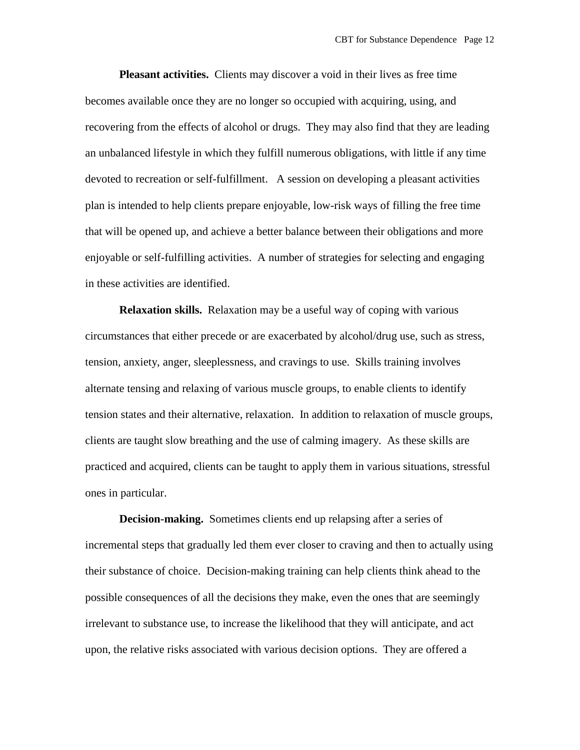**Pleasant activities.** Clients may discover a void in their lives as free time becomes available once they are no longer so occupied with acquiring, using, and recovering from the effects of alcohol or drugs. They may also find that they are leading an unbalanced lifestyle in which they fulfill numerous obligations, with little if any time devoted to recreation or self-fulfillment. A session on developing a pleasant activities plan is intended to help clients prepare enjoyable, low-risk ways of filling the free time that will be opened up, and achieve a better balance between their obligations and more enjoyable or self-fulfilling activities. A number of strategies for selecting and engaging in these activities are identified.

**Relaxation skills.** Relaxation may be a useful way of coping with various circumstances that either precede or are exacerbated by alcohol/drug use, such as stress, tension, anxiety, anger, sleeplessness, and cravings to use. Skills training involves alternate tensing and relaxing of various muscle groups, to enable clients to identify tension states and their alternative, relaxation. In addition to relaxation of muscle groups, clients are taught slow breathing and the use of calming imagery. As these skills are practiced and acquired, clients can be taught to apply them in various situations, stressful ones in particular.

**Decision-making.** Sometimes clients end up relapsing after a series of incremental steps that gradually led them ever closer to craving and then to actually using their substance of choice. Decision-making training can help clients think ahead to the possible consequences of all the decisions they make, even the ones that are seemingly irrelevant to substance use, to increase the likelihood that they will anticipate, and act upon, the relative risks associated with various decision options. They are offered a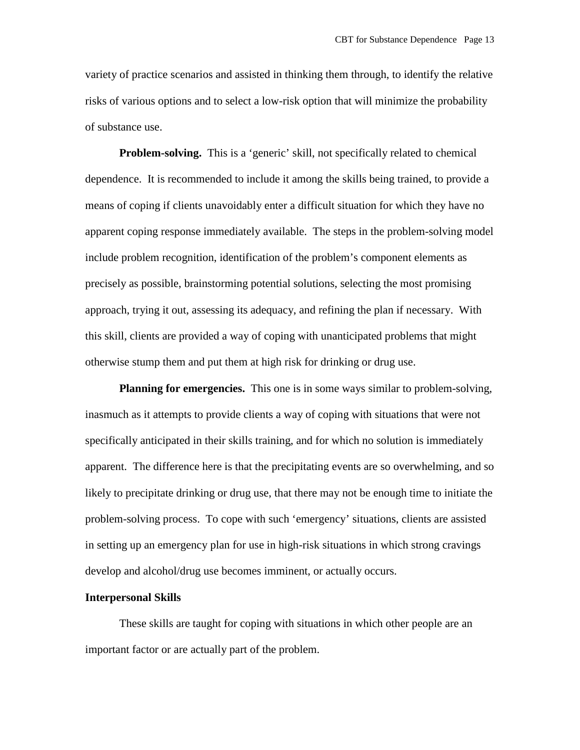variety of practice scenarios and assisted in thinking them through, to identify the relative risks of various options and to select a low-risk option that will minimize the probability of substance use.

**Problem-solving.** This is a 'generic' skill, not specifically related to chemical dependence. It is recommended to include it among the skills being trained, to provide a means of coping if clients unavoidably enter a difficult situation for which they have no apparent coping response immediately available. The steps in the problem-solving model include problem recognition, identification of the problem's component elements as precisely as possible, brainstorming potential solutions, selecting the most promising approach, trying it out, assessing its adequacy, and refining the plan if necessary. With this skill, clients are provided a way of coping with unanticipated problems that might otherwise stump them and put them at high risk for drinking or drug use.

**Planning for emergencies.** This one is in some ways similar to problem-solving, inasmuch as it attempts to provide clients a way of coping with situations that were not specifically anticipated in their skills training, and for which no solution is immediately apparent. The difference here is that the precipitating events are so overwhelming, and so likely to precipitate drinking or drug use, that there may not be enough time to initiate the problem-solving process. To cope with such 'emergency' situations, clients are assisted in setting up an emergency plan for use in high-risk situations in which strong cravings develop and alcohol/drug use becomes imminent, or actually occurs.

#### **Interpersonal Skills**

These skills are taught for coping with situations in which other people are an important factor or are actually part of the problem.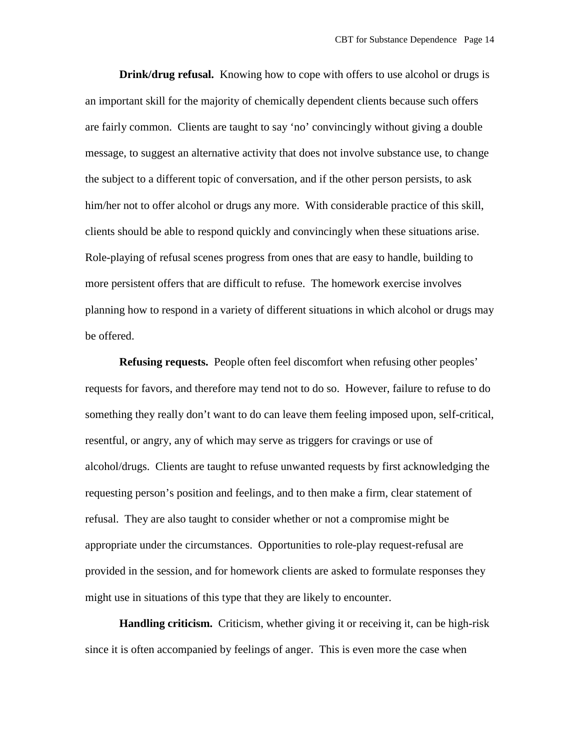**Drink/drug refusal.** Knowing how to cope with offers to use alcohol or drugs is an important skill for the majority of chemically dependent clients because such offers are fairly common. Clients are taught to say 'no' convincingly without giving a double message, to suggest an alternative activity that does not involve substance use, to change the subject to a different topic of conversation, and if the other person persists, to ask him/her not to offer alcohol or drugs any more. With considerable practice of this skill, clients should be able to respond quickly and convincingly when these situations arise. Role-playing of refusal scenes progress from ones that are easy to handle, building to more persistent offers that are difficult to refuse. The homework exercise involves planning how to respond in a variety of different situations in which alcohol or drugs may be offered.

**Refusing requests.** People often feel discomfort when refusing other peoples' requests for favors, and therefore may tend not to do so. However, failure to refuse to do something they really don't want to do can leave them feeling imposed upon, self-critical, resentful, or angry, any of which may serve as triggers for cravings or use of alcohol/drugs. Clients are taught to refuse unwanted requests by first acknowledging the requesting person's position and feelings, and to then make a firm, clear statement of refusal. They are also taught to consider whether or not a compromise might be appropriate under the circumstances. Opportunities to role-play request-refusal are provided in the session, and for homework clients are asked to formulate responses they might use in situations of this type that they are likely to encounter.

**Handling criticism.** Criticism, whether giving it or receiving it, can be high-risk since it is often accompanied by feelings of anger. This is even more the case when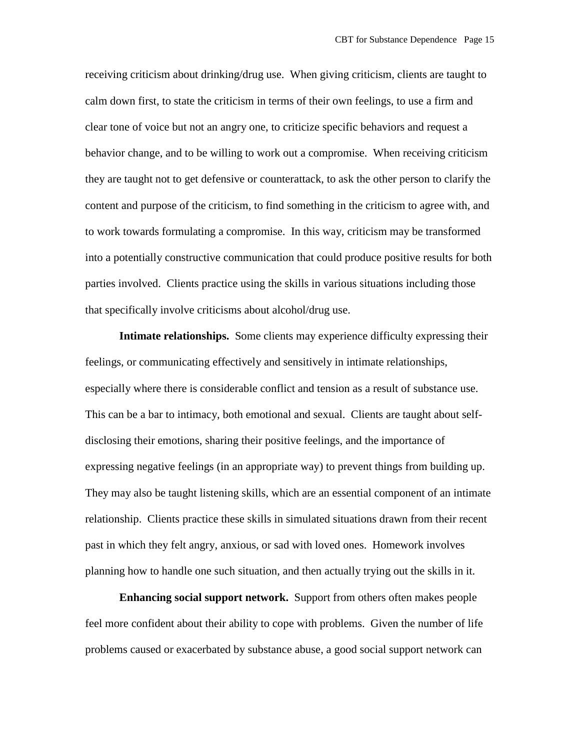receiving criticism about drinking/drug use. When giving criticism, clients are taught to calm down first, to state the criticism in terms of their own feelings, to use a firm and clear tone of voice but not an angry one, to criticize specific behaviors and request a behavior change, and to be willing to work out a compromise. When receiving criticism they are taught not to get defensive or counterattack, to ask the other person to clarify the content and purpose of the criticism, to find something in the criticism to agree with, and to work towards formulating a compromise. In this way, criticism may be transformed into a potentially constructive communication that could produce positive results for both parties involved. Clients practice using the skills in various situations including those that specifically involve criticisms about alcohol/drug use.

**Intimate relationships.** Some clients may experience difficulty expressing their feelings, or communicating effectively and sensitively in intimate relationships, especially where there is considerable conflict and tension as a result of substance use. This can be a bar to intimacy, both emotional and sexual. Clients are taught about selfdisclosing their emotions, sharing their positive feelings, and the importance of expressing negative feelings (in an appropriate way) to prevent things from building up. They may also be taught listening skills, which are an essential component of an intimate relationship. Clients practice these skills in simulated situations drawn from their recent past in which they felt angry, anxious, or sad with loved ones. Homework involves planning how to handle one such situation, and then actually trying out the skills in it.

**Enhancing social support network.** Support from others often makes people feel more confident about their ability to cope with problems. Given the number of life problems caused or exacerbated by substance abuse, a good social support network can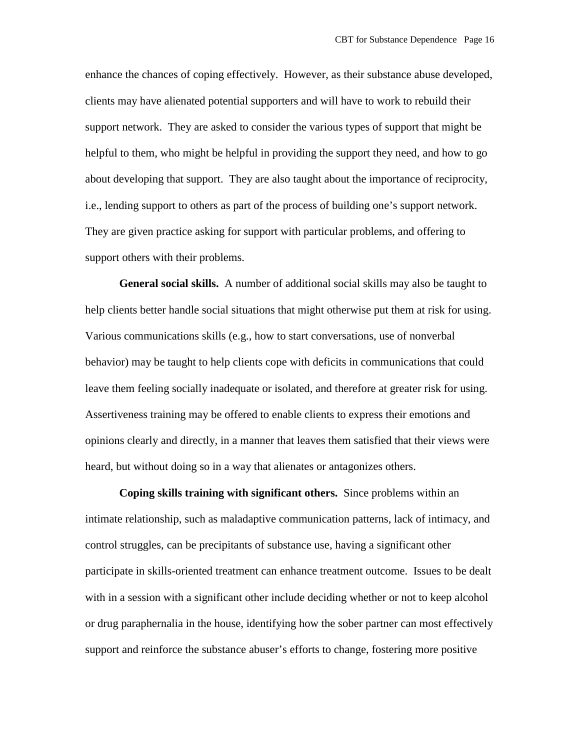enhance the chances of coping effectively. However, as their substance abuse developed, clients may have alienated potential supporters and will have to work to rebuild their support network. They are asked to consider the various types of support that might be helpful to them, who might be helpful in providing the support they need, and how to go about developing that support. They are also taught about the importance of reciprocity, i.e., lending support to others as part of the process of building one's support network. They are given practice asking for support with particular problems, and offering to support others with their problems.

**General social skills.** A number of additional social skills may also be taught to help clients better handle social situations that might otherwise put them at risk for using. Various communications skills (e.g., how to start conversations, use of nonverbal behavior) may be taught to help clients cope with deficits in communications that could leave them feeling socially inadequate or isolated, and therefore at greater risk for using. Assertiveness training may be offered to enable clients to express their emotions and opinions clearly and directly, in a manner that leaves them satisfied that their views were heard, but without doing so in a way that alienates or antagonizes others.

**Coping skills training with significant others.** Since problems within an intimate relationship, such as maladaptive communication patterns, lack of intimacy, and control struggles, can be precipitants of substance use, having a significant other participate in skills-oriented treatment can enhance treatment outcome. Issues to be dealt with in a session with a significant other include deciding whether or not to keep alcohol or drug paraphernalia in the house, identifying how the sober partner can most effectively support and reinforce the substance abuser's efforts to change, fostering more positive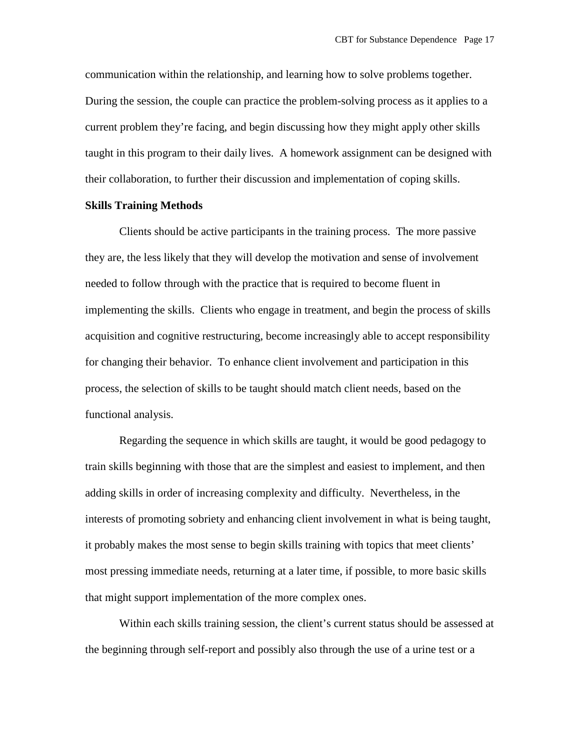communication within the relationship, and learning how to solve problems together. During the session, the couple can practice the problem-solving process as it applies to a current problem they're facing, and begin discussing how they might apply other skills taught in this program to their daily lives. A homework assignment can be designed with their collaboration, to further their discussion and implementation of coping skills.

### **Skills Training Methods**

Clients should be active participants in the training process. The more passive they are, the less likely that they will develop the motivation and sense of involvement needed to follow through with the practice that is required to become fluent in implementing the skills. Clients who engage in treatment, and begin the process of skills acquisition and cognitive restructuring, become increasingly able to accept responsibility for changing their behavior. To enhance client involvement and participation in this process, the selection of skills to be taught should match client needs, based on the functional analysis.

Regarding the sequence in which skills are taught, it would be good pedagogy to train skills beginning with those that are the simplest and easiest to implement, and then adding skills in order of increasing complexity and difficulty. Nevertheless, in the interests of promoting sobriety and enhancing client involvement in what is being taught, it probably makes the most sense to begin skills training with topics that meet clients' most pressing immediate needs, returning at a later time, if possible, to more basic skills that might support implementation of the more complex ones.

Within each skills training session, the client's current status should be assessed at the beginning through self-report and possibly also through the use of a urine test or a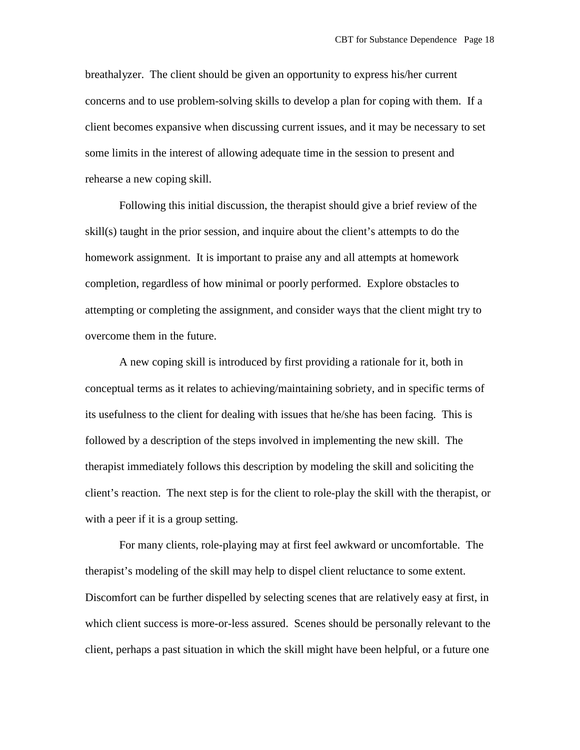breathalyzer. The client should be given an opportunity to express his/her current concerns and to use problem-solving skills to develop a plan for coping with them. If a client becomes expansive when discussing current issues, and it may be necessary to set some limits in the interest of allowing adequate time in the session to present and rehearse a new coping skill.

Following this initial discussion, the therapist should give a brief review of the skill(s) taught in the prior session, and inquire about the client's attempts to do the homework assignment. It is important to praise any and all attempts at homework completion, regardless of how minimal or poorly performed. Explore obstacles to attempting or completing the assignment, and consider ways that the client might try to overcome them in the future.

A new coping skill is introduced by first providing a rationale for it, both in conceptual terms as it relates to achieving/maintaining sobriety, and in specific terms of its usefulness to the client for dealing with issues that he/she has been facing. This is followed by a description of the steps involved in implementing the new skill. The therapist immediately follows this description by modeling the skill and soliciting the client's reaction. The next step is for the client to role-play the skill with the therapist, or with a peer if it is a group setting.

For many clients, role-playing may at first feel awkward or uncomfortable. The therapist's modeling of the skill may help to dispel client reluctance to some extent. Discomfort can be further dispelled by selecting scenes that are relatively easy at first, in which client success is more-or-less assured. Scenes should be personally relevant to the client, perhaps a past situation in which the skill might have been helpful, or a future one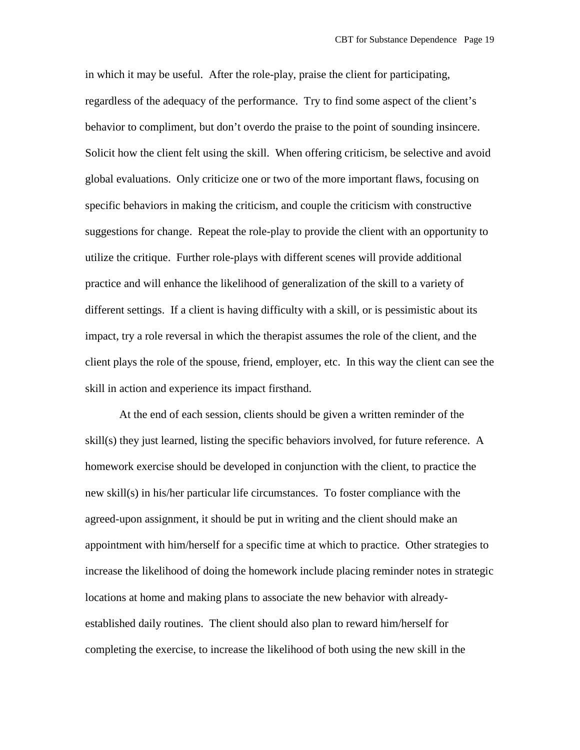in which it may be useful. After the role-play, praise the client for participating, regardless of the adequacy of the performance. Try to find some aspect of the client's behavior to compliment, but don't overdo the praise to the point of sounding insincere. Solicit how the client felt using the skill. When offering criticism, be selective and avoid global evaluations. Only criticize one or two of the more important flaws, focusing on specific behaviors in making the criticism, and couple the criticism with constructive suggestions for change. Repeat the role-play to provide the client with an opportunity to utilize the critique. Further role-plays with different scenes will provide additional practice and will enhance the likelihood of generalization of the skill to a variety of different settings. If a client is having difficulty with a skill, or is pessimistic about its impact, try a role reversal in which the therapist assumes the role of the client, and the client plays the role of the spouse, friend, employer, etc. In this way the client can see the skill in action and experience its impact firsthand.

At the end of each session, clients should be given a written reminder of the skill(s) they just learned, listing the specific behaviors involved, for future reference. A homework exercise should be developed in conjunction with the client, to practice the new skill(s) in his/her particular life circumstances. To foster compliance with the agreed-upon assignment, it should be put in writing and the client should make an appointment with him/herself for a specific time at which to practice. Other strategies to increase the likelihood of doing the homework include placing reminder notes in strategic locations at home and making plans to associate the new behavior with alreadyestablished daily routines. The client should also plan to reward him/herself for completing the exercise, to increase the likelihood of both using the new skill in the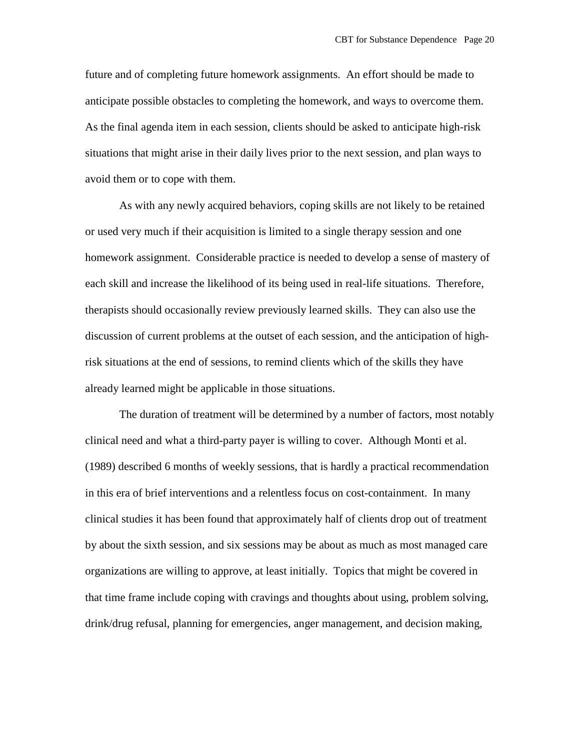future and of completing future homework assignments. An effort should be made to anticipate possible obstacles to completing the homework, and ways to overcome them. As the final agenda item in each session, clients should be asked to anticipate high-risk situations that might arise in their daily lives prior to the next session, and plan ways to avoid them or to cope with them.

As with any newly acquired behaviors, coping skills are not likely to be retained or used very much if their acquisition is limited to a single therapy session and one homework assignment. Considerable practice is needed to develop a sense of mastery of each skill and increase the likelihood of its being used in real-life situations. Therefore, therapists should occasionally review previously learned skills. They can also use the discussion of current problems at the outset of each session, and the anticipation of highrisk situations at the end of sessions, to remind clients which of the skills they have already learned might be applicable in those situations.

The duration of treatment will be determined by a number of factors, most notably clinical need and what a third-party payer is willing to cover. Although Monti et al. (1989) described 6 months of weekly sessions, that is hardly a practical recommendation in this era of brief interventions and a relentless focus on cost-containment. In many clinical studies it has been found that approximately half of clients drop out of treatment by about the sixth session, and six sessions may be about as much as most managed care organizations are willing to approve, at least initially. Topics that might be covered in that time frame include coping with cravings and thoughts about using, problem solving, drink/drug refusal, planning for emergencies, anger management, and decision making,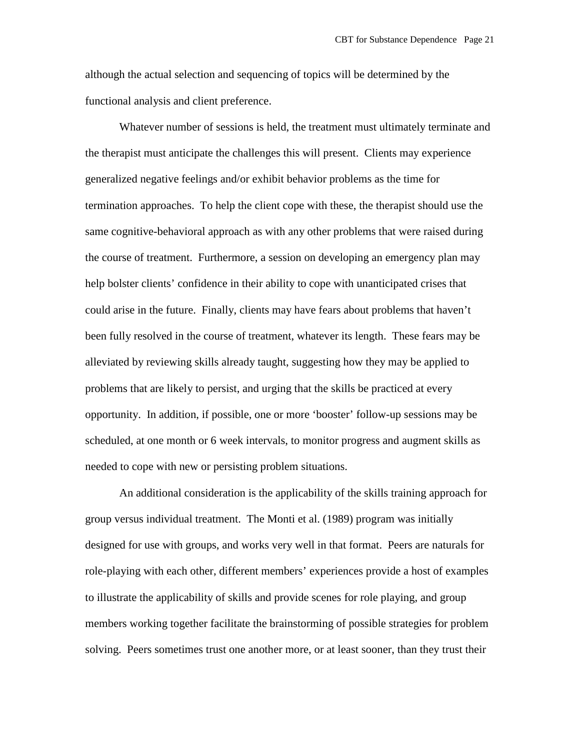although the actual selection and sequencing of topics will be determined by the functional analysis and client preference.

Whatever number of sessions is held, the treatment must ultimately terminate and the therapist must anticipate the challenges this will present. Clients may experience generalized negative feelings and/or exhibit behavior problems as the time for termination approaches. To help the client cope with these, the therapist should use the same cognitive-behavioral approach as with any other problems that were raised during the course of treatment. Furthermore, a session on developing an emergency plan may help bolster clients' confidence in their ability to cope with unanticipated crises that could arise in the future. Finally, clients may have fears about problems that haven't been fully resolved in the course of treatment, whatever its length. These fears may be alleviated by reviewing skills already taught, suggesting how they may be applied to problems that are likely to persist, and urging that the skills be practiced at every opportunity. In addition, if possible, one or more 'booster' follow-up sessions may be scheduled, at one month or 6 week intervals, to monitor progress and augment skills as needed to cope with new or persisting problem situations.

An additional consideration is the applicability of the skills training approach for group versus individual treatment. The Monti et al. (1989) program was initially designed for use with groups, and works very well in that format. Peers are naturals for role-playing with each other, different members' experiences provide a host of examples to illustrate the applicability of skills and provide scenes for role playing, and group members working together facilitate the brainstorming of possible strategies for problem solving. Peers sometimes trust one another more, or at least sooner, than they trust their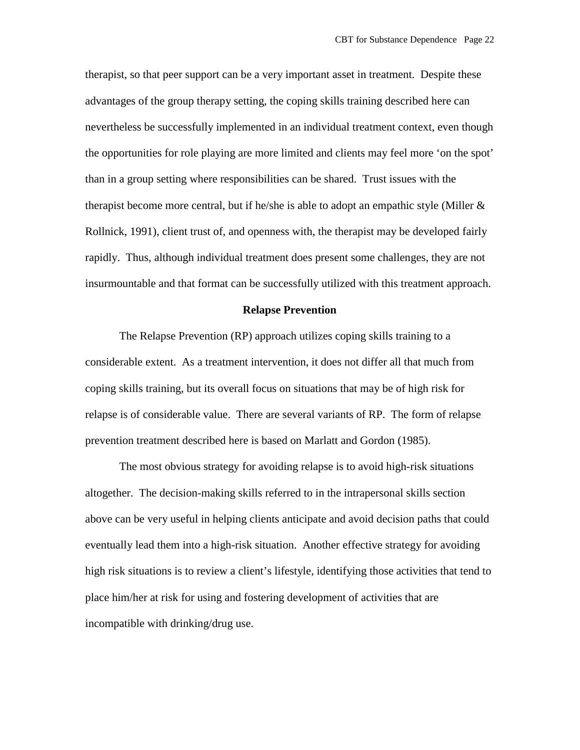therapist, so that peer support can be a very important asset in treatment. Despite these advantages of the group therapy setting, the coping skills training described here can nevertheless be successfully implemented in an individual treatment context, even though the opportunities for role playing are more limited and clients may feel more 'on the spot' than in a group setting where responsibilities can be shared. Trust issues with the therapist become more central, but if he/she is able to adopt an empathic style (Miller  $\&$ Rollnick, 1991), client trust of, and openness with, the therapist may be developed fairly rapidly. Thus, although individual treatment does present some challenges, they are not insurmountable and that format can be successfully utilized with this treatment approach.

### **Relapse Prevention**

The Relapse Prevention (RP) approach utilizes coping skills training to a considerable extent. As a treatment intervention, it does not differ all that much from coping skills training, but its overall focus on situations that may be of high risk for relapse is of considerable value. There are several variants of RP. The form of relapse prevention treatment described here is based on Marlatt and Gordon (1985).

The most obvious strategy for avoiding relapse is to avoid high-risk situations altogether. The decision-making skills referred to in the intrapersonal skills section above can be very useful in helping clients anticipate and avoid decision paths that could eventually lead them into a high-risk situation. Another effective strategy for avoiding high risk situations is to review a client's lifestyle, identifying those activities that tend to place him/her at risk for using and fostering development of activities that are incompatible with drinking/drug use.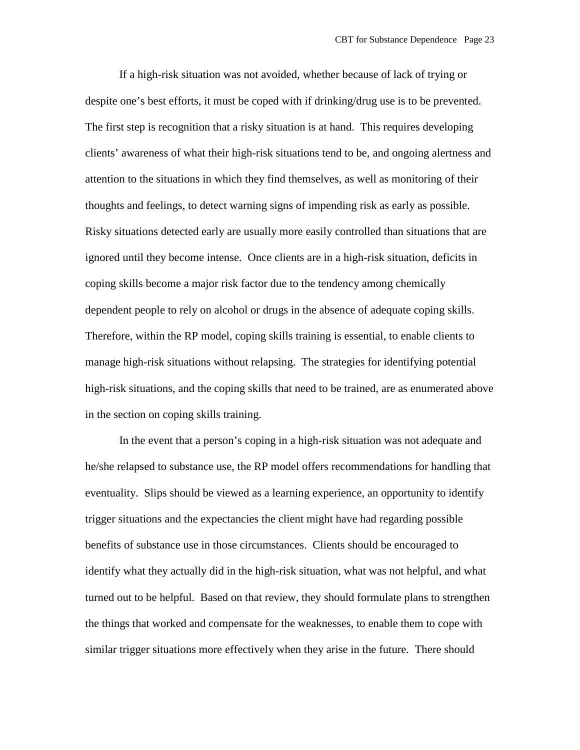If a high-risk situation was not avoided, whether because of lack of trying or despite one's best efforts, it must be coped with if drinking/drug use is to be prevented. The first step is recognition that a risky situation is at hand. This requires developing clients' awareness of what their high-risk situations tend to be, and ongoing alertness and attention to the situations in which they find themselves, as well as monitoring of their thoughts and feelings, to detect warning signs of impending risk as early as possible. Risky situations detected early are usually more easily controlled than situations that are ignored until they become intense. Once clients are in a high-risk situation, deficits in coping skills become a major risk factor due to the tendency among chemically dependent people to rely on alcohol or drugs in the absence of adequate coping skills. Therefore, within the RP model, coping skills training is essential, to enable clients to manage high-risk situations without relapsing. The strategies for identifying potential high-risk situations, and the coping skills that need to be trained, are as enumerated above in the section on coping skills training.

In the event that a person's coping in a high-risk situation was not adequate and he/she relapsed to substance use, the RP model offers recommendations for handling that eventuality. Slips should be viewed as a learning experience, an opportunity to identify trigger situations and the expectancies the client might have had regarding possible benefits of substance use in those circumstances. Clients should be encouraged to identify what they actually did in the high-risk situation, what was not helpful, and what turned out to be helpful. Based on that review, they should formulate plans to strengthen the things that worked and compensate for the weaknesses, to enable them to cope with similar trigger situations more effectively when they arise in the future. There should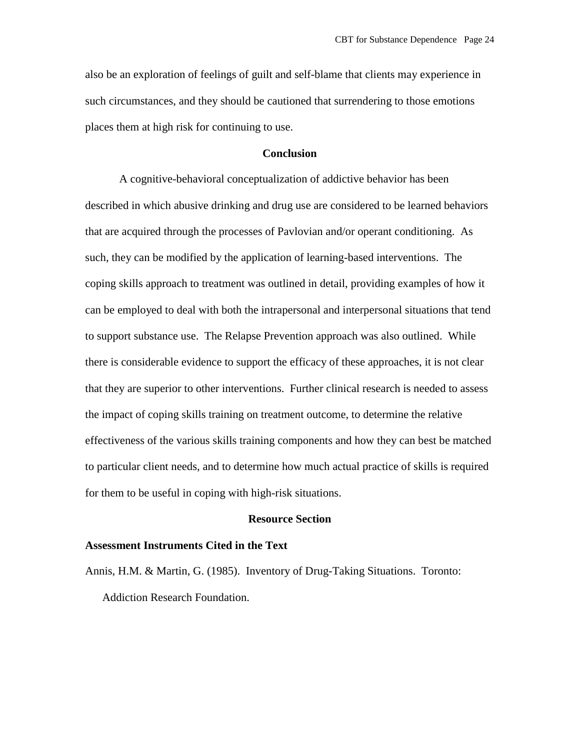also be an exploration of feelings of guilt and self-blame that clients may experience in such circumstances, and they should be cautioned that surrendering to those emotions places them at high risk for continuing to use.

# **Conclusion**

A cognitive-behavioral conceptualization of addictive behavior has been described in which abusive drinking and drug use are considered to be learned behaviors that are acquired through the processes of Pavlovian and/or operant conditioning. As such, they can be modified by the application of learning-based interventions. The coping skills approach to treatment was outlined in detail, providing examples of how it can be employed to deal with both the intrapersonal and interpersonal situations that tend to support substance use. The Relapse Prevention approach was also outlined. While there is considerable evidence to support the efficacy of these approaches, it is not clear that they are superior to other interventions. Further clinical research is needed to assess the impact of coping skills training on treatment outcome, to determine the relative effectiveness of the various skills training components and how they can best be matched to particular client needs, and to determine how much actual practice of skills is required for them to be useful in coping with high-risk situations.

# **Resource Section**

#### **Assessment Instruments Cited in the Text**

Annis, H.M. & Martin, G. (1985). Inventory of Drug-Taking Situations. Toronto: Addiction Research Foundation.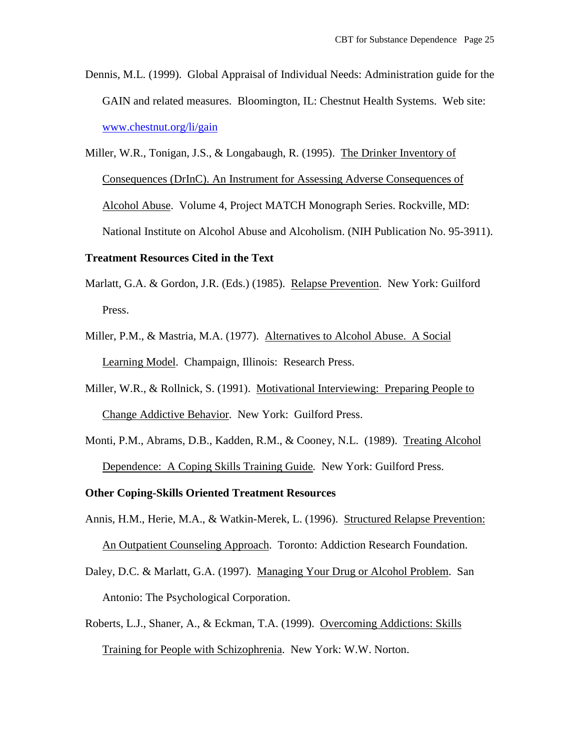- Dennis, M.L. (1999). Global Appraisal of Individual Needs: Administration guide for the GAIN and related measures. Bloomington, IL: Chestnut Health Systems. Web site: [www.chestnut.org/li/gain](http://www.chestnut.org/li/gain)
- Miller, W.R., Tonigan, J.S., & Longabaugh, R. (1995). The Drinker Inventory of Consequences (DrInC). An Instrument for Assessing Adverse Consequences of Alcohol Abuse. Volume 4, Project MATCH Monograph Series. Rockville, MD: National Institute on Alcohol Abuse and Alcoholism. (NIH Publication No. 95-3911).

# **Treatment Resources Cited in the Text**

- Marlatt, G.A. & Gordon, J.R. (Eds.) (1985). Relapse Prevention. New York: Guilford Press.
- Miller, P.M., & Mastria, M.A. (1977). Alternatives to Alcohol Abuse. A Social Learning Model. Champaign, Illinois: Research Press.
- Miller, W.R., & Rollnick, S. (1991). Motivational Interviewing: Preparing People to Change Addictive Behavior. New York: Guilford Press.
- Monti, P.M., Abrams, D.B., Kadden, R.M., & Cooney, N.L. (1989). Treating Alcohol Dependence: A Coping Skills Training Guide*.* New York: Guilford Press.

# **Other Coping-Skills Oriented Treatment Resources**

- Annis, H.M., Herie, M.A., & Watkin-Merek, L. (1996). Structured Relapse Prevention: An Outpatient Counseling Approach. Toronto: Addiction Research Foundation.
- Daley, D.C. & Marlatt, G.A. (1997). Managing Your Drug or Alcohol Problem. San Antonio: The Psychological Corporation.
- Roberts, L.J., Shaner, A., & Eckman, T.A. (1999). Overcoming Addictions: Skills Training for People with Schizophrenia. New York: W.W. Norton.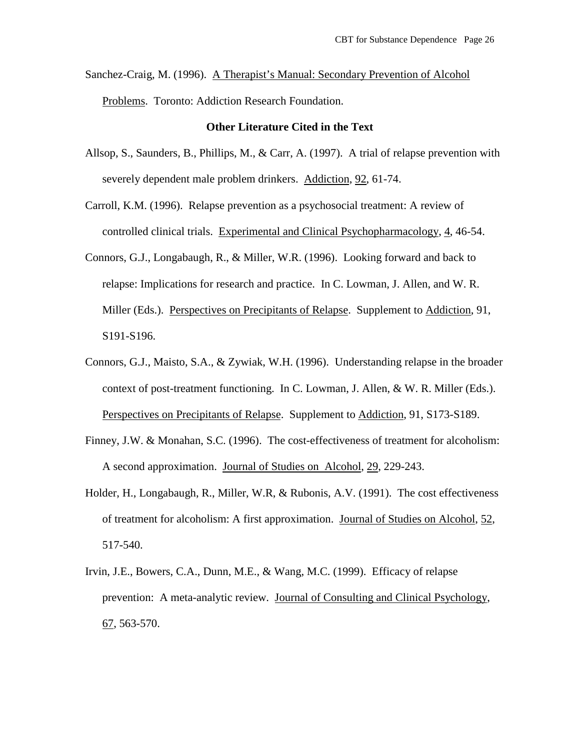Sanchez-Craig, M. (1996). A Therapist's Manual: Secondary Prevention of Alcohol Problems. Toronto: Addiction Research Foundation.

## **Other Literature Cited in the Text**

- Allsop, S., Saunders, B., Phillips, M., & Carr, A. (1997). A trial of relapse prevention with severely dependent male problem drinkers. Addiction, 92, 61-74.
- Carroll, K.M. (1996). Relapse prevention as a psychosocial treatment: A review of controlled clinical trials. Experimental and Clinical Psychopharmacology, 4, 46-54.
- Connors, G.J., Longabaugh, R., & Miller, W.R. (1996). Looking forward and back to relapse: Implications for research and practice. In C. Lowman, J. Allen, and W. R. Miller (Eds.). Perspectives on Precipitants of Relapse. Supplement to Addiction, 91, S191-S196.
- Connors, G.J., Maisto, S.A., & Zywiak, W.H. (1996). Understanding relapse in the broader context of post-treatment functioning. In C. Lowman, J. Allen, & W. R. Miller (Eds.). Perspectives on Precipitants of Relapse. Supplement to Addiction, 91, S173-S189.
- Finney, J.W. & Monahan, S.C. (1996). The cost-effectiveness of treatment for alcoholism: A second approximation. Journal of Studies on Alcohol, 29, 229-243.
- Holder, H., Longabaugh, R., Miller, W.R, & Rubonis, A.V. (1991). The cost effectiveness of treatment for alcoholism: A first approximation. Journal of Studies on Alcohol, 52, 517-540.
- Irvin, J.E., Bowers, C.A., Dunn, M.E., & Wang, M.C. (1999). Efficacy of relapse prevention: A meta-analytic review. Journal of Consulting and Clinical Psychology, 67, 563-570.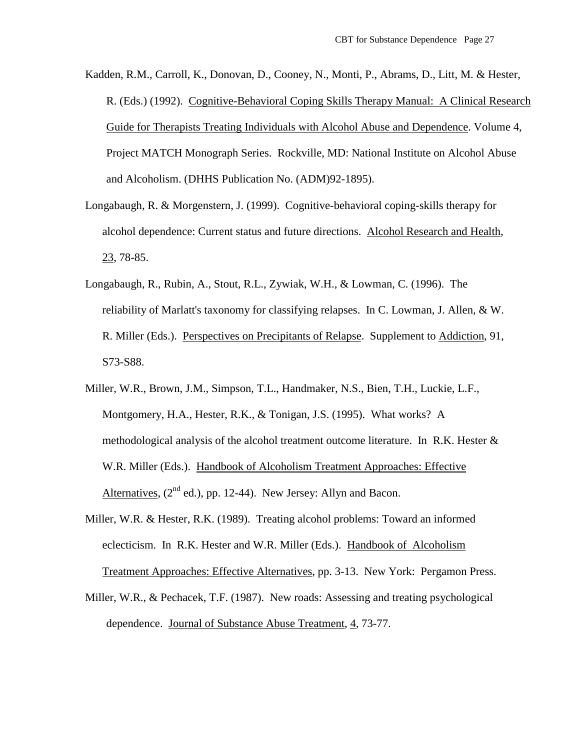- Kadden, R.M., Carroll, K., Donovan, D., Cooney, N., Monti, P., Abrams, D., Litt, M. & Hester, R. (Eds.) (1992). Cognitive-Behavioral Coping Skills Therapy Manual: A Clinical Research Guide for Therapists Treating Individuals with Alcohol Abuse and Dependence. Volume 4, Project MATCH Monograph Series. Rockville, MD: National Institute on Alcohol Abuse and Alcoholism. (DHHS Publication No. (ADM)92-1895).
- Longabaugh, R. & Morgenstern, J. (1999). Cognitive-behavioral coping-skills therapy for alcohol dependence: Current status and future directions. Alcohol Research and Health, 23, 78-85.
- Longabaugh, R., Rubin, A., Stout, R.L., Zywiak, W.H., & Lowman, C. (1996). The reliability of Marlatt's taxonomy for classifying relapses. In C. Lowman, J. Allen, & W. R. Miller (Eds.). Perspectives on Precipitants of Relapse. Supplement to Addiction, 91, S73-S88.
- Miller, W.R., Brown, J.M., Simpson, T.L., Handmaker, N.S., Bien, T.H., Luckie, L.F., Montgomery, H.A., Hester, R.K., & Tonigan, J.S. (1995). What works? A methodological analysis of the alcohol treatment outcome literature. In R.K. Hester  $\&$ W.R. Miller (Eds.). Handbook of Alcoholism Treatment Approaches: Effective Alternatives,  $(2^{nd}$  ed.), pp. 12-44). New Jersey: Allyn and Bacon.
- Miller, W.R. & Hester, R.K. (1989). Treating alcohol problems: Toward an informed eclecticism. In R.K. Hester and W.R. Miller (Eds.). Handbook of Alcoholism Treatment Approaches: Effective Alternatives, pp. 3-13. New York: Pergamon Press.
- Miller, W.R., & Pechacek, T.F. (1987). New roads: Assessing and treating psychological dependence. Journal of Substance Abuse Treatment, 4, 73-77.